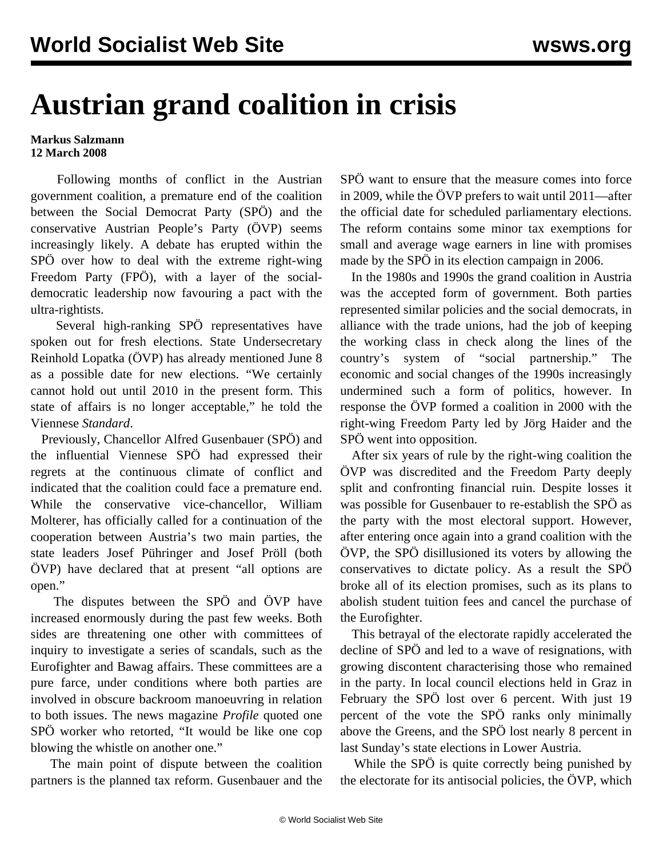## **Austrian grand coalition in crisis**

## **Markus Salzmann 12 March 2008**

 Following months of conflict in the Austrian government coalition, a premature end of the coalition between the Social Democrat Party (SPÖ) and the conservative Austrian People's Party (ÖVP) seems increasingly likely. A debate has erupted within the SPÖ over how to deal with the extreme right-wing Freedom Party (FPÖ), with a layer of the socialdemocratic leadership now favouring a pact with the ultra-rightists.

 Several high-ranking SPÖ representatives have spoken out for fresh elections. State Undersecretary Reinhold Lopatka (ÖVP) has already mentioned June 8 as a possible date for new elections. "We certainly cannot hold out until 2010 in the present form. This state of affairs is no longer acceptable," he told the Viennese *Standard*.

 Previously, Chancellor Alfred Gusenbauer (SPÖ) and the influential Viennese SPÖ had expressed their regrets at the continuous climate of conflict and indicated that the coalition could face a premature end. While the conservative vice-chancellor, William Molterer, has officially called for a continuation of the cooperation between Austria's two main parties, the state leaders Josef Pühringer and Josef Pröll (both ÖVP) have declared that at present "all options are open."

 The disputes between the SPÖ and ÖVP have increased enormously during the past few weeks. Both sides are threatening one other with committees of inquiry to investigate a series of scandals, such as the Eurofighter and Bawag affairs. These committees are a pure farce, under conditions where both parties are involved in obscure backroom manoeuvring in relation to both issues. The news magazine *Profile* quoted one SPÖ worker who retorted, "It would be like one cop blowing the whistle on another one."

 The main point of dispute between the coalition partners is the planned tax reform. Gusenbauer and the SPÖ want to ensure that the measure comes into force in 2009, while the ÖVP prefers to wait until 2011—after the official date for scheduled parliamentary elections. The reform contains some minor tax exemptions for small and average wage earners in line with promises made by the SPÖ in its election campaign in 2006.

 In the 1980s and 1990s the grand coalition in Austria was the accepted form of government. Both parties represented similar policies and the social democrats, in alliance with the trade unions, had the job of keeping the working class in check along the lines of the country's system of "social partnership." The economic and social changes of the 1990s increasingly undermined such a form of politics, however. In response the ÖVP formed a coalition in 2000 with the right-wing Freedom Party led by Jörg Haider and the SPÖ went into opposition.

 After six years of rule by the right-wing coalition the ÖVP was discredited and the Freedom Party deeply split and confronting financial ruin. Despite losses it was possible for Gusenbauer to re-establish the SPÖ as the party with the most electoral support. However, after entering once again into a grand coalition with the ÖVP, the SPÖ disillusioned its voters by allowing the conservatives to dictate policy. As a result the SPÖ broke all of its election promises, such as its plans to abolish student tuition fees and cancel the purchase of the Eurofighter.

 This betrayal of the electorate rapidly accelerated the decline of SPÖ and led to a wave of resignations, with growing discontent characterising those who remained in the party. In local council elections held in Graz in February the SPÖ lost over 6 percent. With just 19 percent of the vote the SPÖ ranks only minimally above the Greens, and the SPÖ lost nearly 8 percent in last Sunday's state elections in Lower Austria.

 While the SPÖ is quite correctly being punished by the electorate for its antisocial policies, the ÖVP, which